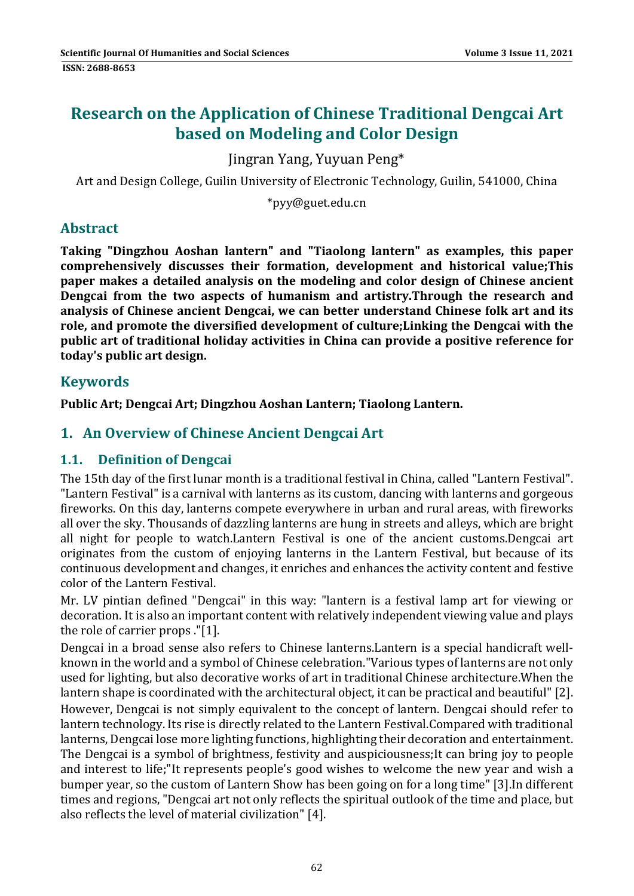# **Research on the Application of Chinese Traditional Dengcai Art based on Modeling and Color Design**

Jingran Yang, Yuyuan Peng\* 

Art and Design College, Guilin University of Electronic Technology, Guilin, 541000, China

\*pyy@guet.edu.cn 

# **Abstract**

**Taking "Dingzhou Aoshan lantern" and "Tiaolong lantern" as examples, this paper comprehensively discusses their formation, development and historical value;This paper makes a detailed analysis on the modeling and color design of Chinese ancient Dengcai from the two aspects of humanism and artistry.Through the research and analysis of Chinese ancient Dengcai, we can better understand Chinese folk art and its role, and promote the diversified development of culture;Linking the Dengcai with the public art of traditional holiday activities in China can provide a positive reference for today's public art design.**

# **Keywords**

**Public Art; Dengcai Art; Dingzhou Aoshan Lantern; Tiaolong Lantern.**

# **1. An Overview of Chinese Ancient Dengcai Art**

#### **1.1. Definition of Dengcai**

The 15th day of the first lunar month is a traditional festival in China, called "Lantern Festival". "Lantern Festival" is a carnival with lanterns as its custom, dancing with lanterns and gorgeous fireworks. On this day, lanterns compete everywhere in urban and rural areas, with fireworks all over the sky. Thousands of dazzling lanterns are hung in streets and alleys, which are bright all night for people to watch.Lantern Festival is one of the ancient customs.Dengcai art originates from the custom of enjoving lanterns in the Lantern Festival, but because of its continuous development and changes, it enriches and enhances the activity content and festive color of the Lantern Festival.

Mr. LV pintian defined "Dengcai" in this way: "lantern is a festival lamp art for viewing or decoration. It is also an important content with relatively independent viewing value and plays the role of carrier props ."[1].

Dengcai in a broad sense also refers to Chinese lanterns. Lantern is a special handicraft wellknown in the world and a symbol of Chinese celebration."Various types of lanterns are not only used for lighting, but also decorative works of art in traditional Chinese architecture. When the lantern shape is coordinated with the architectural object, it can be practical and beautiful" [2].

However, Dengcai is not simply equivalent to the concept of lantern. Dengcai should refer to lantern technology. Its rise is directly related to the Lantern Festival.Compared with traditional lanterns, Dengcai lose more lighting functions, highlighting their decoration and entertainment. The Dengcai is a symbol of brightness, festivity and auspiciousness; It can bring joy to people and interest to life;"It represents people's good wishes to welcome the new year and wish a bumper year, so the custom of Lantern Show has been going on for a long time" [3]. In different times and regions, "Dengcai art not only reflects the spiritual outlook of the time and place, but also reflects the level of material civilization" [4].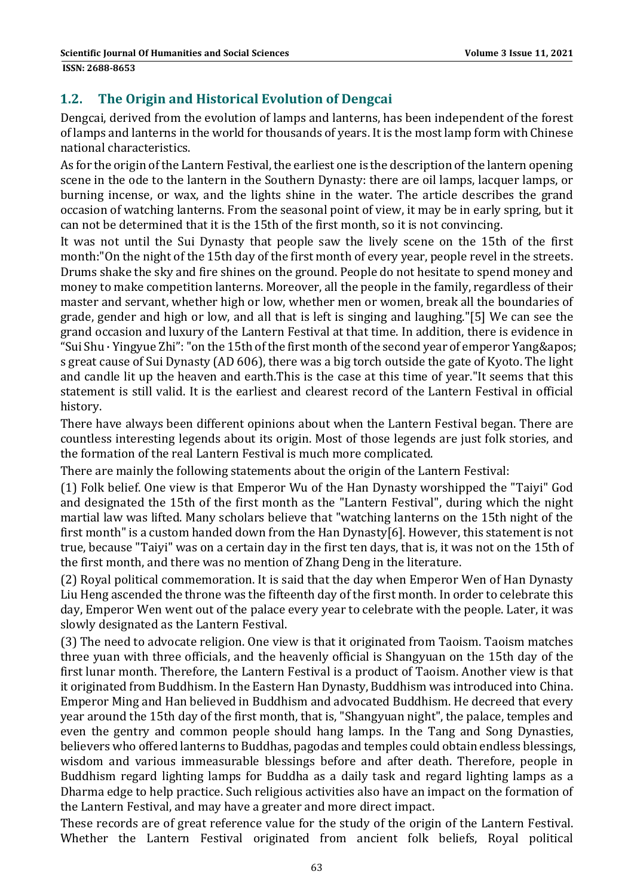### **1.2. The Origin and Historical Evolution of Dengcai**

Dengcai, derived from the evolution of lamps and lanterns, has been independent of the forest of lamps and lanterns in the world for thousands of years. It is the most lamp form with Chinese national characteristics. 

As for the origin of the Lantern Festival, the earliest one is the description of the lantern opening scene in the ode to the lantern in the Southern Dynasty: there are oil lamps, lacquer lamps, or burning incense, or wax, and the lights shine in the water. The article describes the grand occasion of watching lanterns. From the seasonal point of view, it may be in early spring, but it can not be determined that it is the 15th of the first month, so it is not convincing.

It was not until the Sui Dynasty that people saw the lively scene on the 15th of the first month:"On the night of the 15th day of the first month of every year, people revel in the streets. Drums shake the sky and fire shines on the ground. People do not hesitate to spend money and money to make competition lanterns. Moreover, all the people in the family, regardless of their master and servant, whether high or low, whether men or women, break all the boundaries of grade, gender and high or low, and all that is left is singing and laughing."[5] We can see the grand occasion and luxury of the Lantern Festival at that time. In addition, there is evidence in "Sui Shu  $\cdot$  Yingyue Zhi": "on the 15th of the first month of the second year of emperor Yang & apos; s great cause of Sui Dynasty (AD 606), there was a big torch outside the gate of Kyoto. The light and candle lit up the heaven and earth. This is the case at this time of year. "It seems that this statement is still valid. It is the earliest and clearest record of the Lantern Festival in official history. 

There have always been different opinions about when the Lantern Festival began. There are countless interesting legends about its origin. Most of those legends are just folk stories, and the formation of the real Lantern Festival is much more complicated.

There are mainly the following statements about the origin of the Lantern Festival:

(1) Folk belief. One view is that Emperor Wu of the Han Dynasty worshipped the "Taiyi" God and designated the 15th of the first month as the "Lantern Festival", during which the night martial law was lifted. Many scholars believe that "watching lanterns on the 15th night of the first month" is a custom handed down from the Han Dynasty[6]. However, this statement is not true, because "Taiyi" was on a certain day in the first ten days, that is, it was not on the 15th of the first month, and there was no mention of Zhang Deng in the literature.

(2) Royal political commemoration. It is said that the day when Emperor Wen of Han Dynasty Liu Heng ascended the throne was the fifteenth day of the first month. In order to celebrate this day, Emperor Wen went out of the palace every year to celebrate with the people. Later, it was slowly designated as the Lantern Festival.

(3) The need to advocate religion. One view is that it originated from Taoism. Taoism matches three yuan with three officials, and the heavenly official is Shangyuan on the 15th day of the first lunar month. Therefore, the Lantern Festival is a product of Taoism. Another view is that it originated from Buddhism. In the Eastern Han Dynasty, Buddhism was introduced into China. Emperor Ming and Han believed in Buddhism and advocated Buddhism. He decreed that every year around the 15th day of the first month, that is, "Shangyuan night", the palace, temples and even the gentry and common people should hang lamps. In the Tang and Song Dynasties, believers who offered lanterns to Buddhas, pagodas and temples could obtain endless blessings, wisdom and various immeasurable blessings before and after death. Therefore, people in Buddhism regard lighting lamps for Buddha as a daily task and regard lighting lamps as a Dharma edge to help practice. Such religious activities also have an impact on the formation of the Lantern Festival, and may have a greater and more direct impact.

These records are of great reference value for the study of the origin of the Lantern Festival. Whether the Lantern Festival originated from ancient folk beliefs, Royal political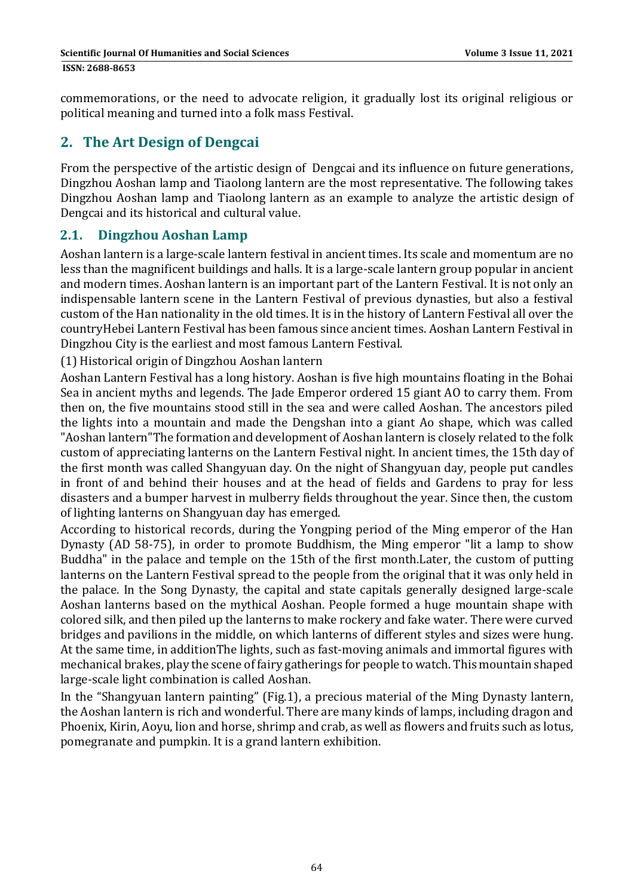commemorations, or the need to advocate religion, it gradually lost its original religious or political meaning and turned into a folk mass Festival.

# **2. The Art Design of Dengcai**

From the perspective of the artistic design of Dengcai and its influence on future generations, Dingzhou Aoshan lamp and Tiaolong lantern are the most representative. The following takes Dingzhou Aoshan lamp and Tiaolong lantern as an example to analyze the artistic design of Dengcai and its historical and cultural value.

#### **2.1. Dingzhou Aoshan Lamp**

Aoshan lantern is a large-scale lantern festival in ancient times. Its scale and momentum are no less than the magnificent buildings and halls. It is a large-scale lantern group popular in ancient and modern times. Aoshan lantern is an important part of the Lantern Festival. It is not only an indispensable lantern scene in the Lantern Festival of previous dynasties, but also a festival custom of the Han nationality in the old times. It is in the history of Lantern Festival all over the countryHebei Lantern Festival has been famous since ancient times. Aoshan Lantern Festival in Dingzhou City is the earliest and most famous Lantern Festival.

(1) Historical origin of Dingzhou Aoshan lantern 

Aoshan Lantern Festival has a long history. Aoshan is five high mountains floating in the Bohai Sea in ancient myths and legends. The Jade Emperor ordered 15 giant AO to carry them. From then on, the five mountains stood still in the sea and were called Aoshan. The ancestors piled the lights into a mountain and made the Dengshan into a giant Ao shape, which was called "Aoshan lantern"The formation and development of Aoshan lantern is closely related to the folk custom of appreciating lanterns on the Lantern Festival night. In ancient times, the 15th day of the first month was called Shangyuan day. On the night of Shangyuan day, people put candles in front of and behind their houses and at the head of fields and Gardens to pray for less disasters and a bumper harvest in mulberry fields throughout the year. Since then, the custom of lighting lanterns on Shangyuan day has emerged.

According to historical records, during the Yongping period of the Ming emperor of the Han Dynasty (AD 58-75), in order to promote Buddhism, the Ming emperor "lit a lamp to show Buddha" in the palace and temple on the 15th of the first month.Later, the custom of putting lanterns on the Lantern Festival spread to the people from the original that it was only held in the palace. In the Song Dynasty, the capital and state capitals generally designed large-scale Aoshan lanterns based on the mythical Aoshan. People formed a huge mountain shape with colored silk, and then piled up the lanterns to make rockery and fake water. There were curved bridges and pavilions in the middle, on which lanterns of different styles and sizes were hung. At the same time, in additionThe lights, such as fast-moving animals and immortal figures with mechanical brakes, play the scene of fairy gatherings for people to watch. This mountain shaped large-scale light combination is called Aoshan.

In the "Shangyuan lantern painting" (Fig.1), a precious material of the Ming Dynasty lantern, the Aoshan lantern is rich and wonderful. There are many kinds of lamps, including dragon and Phoenix, Kirin, Aoyu, lion and horse, shrimp and crab, as well as flowers and fruits such as lotus, pomegranate and pumpkin. It is a grand lantern exhibition.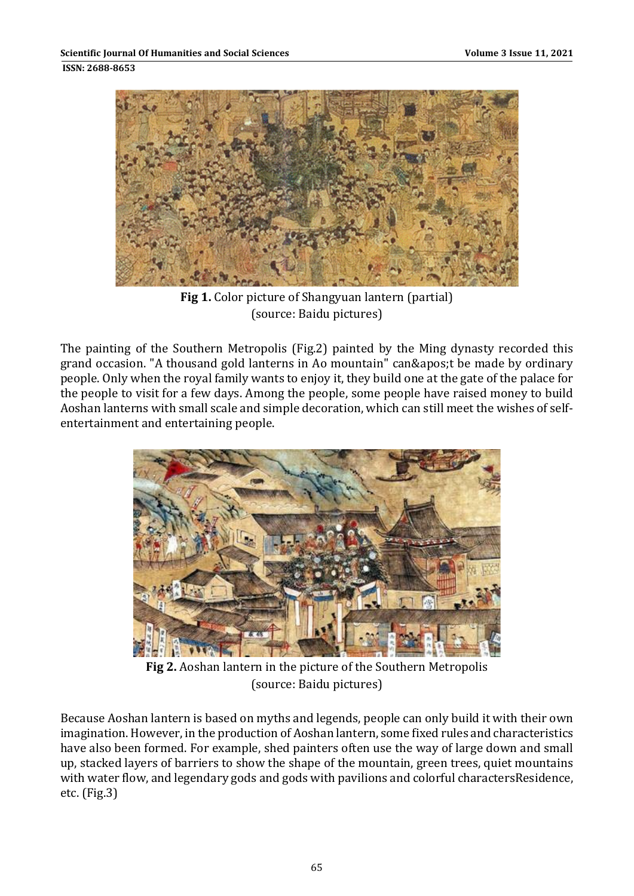

**Fig 1.** Color picture of Shangyuan lantern (partial) (source: Baidu pictures)

The painting of the Southern Metropolis (Fig.2) painted by the Ming dynasty recorded this grand occasion. "A thousand gold lanterns in Ao mountain" can't be made by ordinary people. Only when the royal family wants to enjoy it, they build one at the gate of the palace for the people to visit for a few days. Among the people, some people have raised money to build Aoshan lanterns with small scale and simple decoration, which can still meet the wishes of selfentertainment and entertaining people.



**Fig 2.** Aoshan lantern in the picture of the Southern Metropolis (source: Baidu pictures)

Because Aoshan lantern is based on myths and legends, people can only build it with their own imagination. However, in the production of Aoshan lantern, some fixed rules and characteristics have also been formed. For example, shed painters often use the way of large down and small up, stacked layers of barriers to show the shape of the mountain, green trees, quiet mountains with water flow, and legendary gods and gods with pavilions and colorful charactersResidence,  $etc.$  (Fig.3)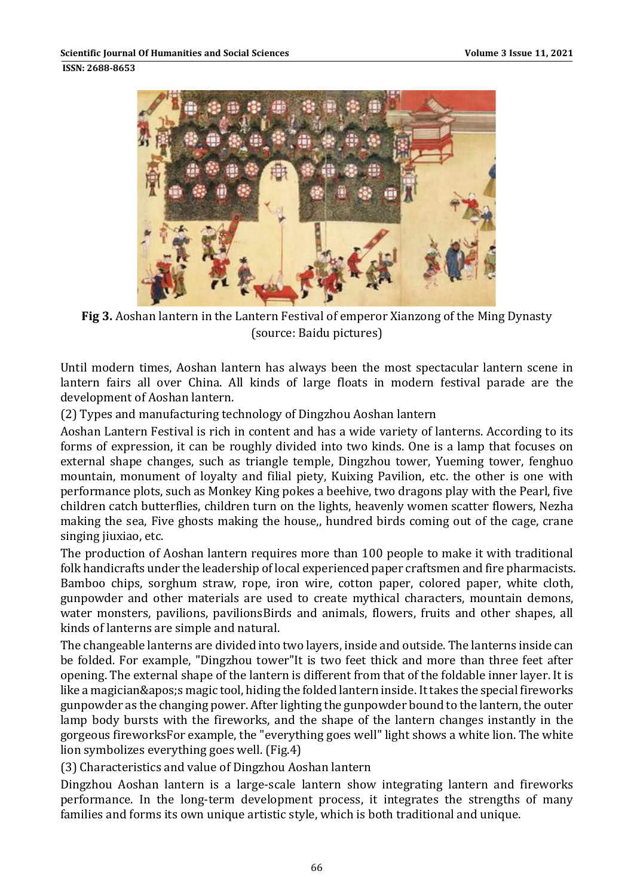

**Fig 3.** Aoshan lantern in the Lantern Festival of emperor Xianzong of the Ming Dynasty (source: Baidu pictures)

Until modern times, Aoshan lantern has always been the most spectacular lantern scene in lantern fairs all over China. All kinds of large floats in modern festival parade are the development of Aoshan lantern.

(2) Types and manufacturing technology of Dingzhou Aoshan lantern

Aoshan Lantern Festival is rich in content and has a wide variety of lanterns. According to its forms of expression, it can be roughly divided into two kinds. One is a lamp that focuses on external shape changes, such as triangle temple, Dingzhou tower, Yueming tower, fenghuo mountain, monument of loyalty and filial piety, Kuixing Pavilion, etc. the other is one with performance plots, such as Monkey King pokes a beehive, two dragons play with the Pearl, five children catch butterflies, children turn on the lights, heavenly women scatter flowers, Nezha making the sea, Five ghosts making the house,, hundred birds coming out of the cage, crane singing jiuxiao, etc.

The production of Aoshan lantern requires more than 100 people to make it with traditional folk handicrafts under the leadership of local experienced paper craftsmen and fire pharmacists. Bamboo chips, sorghum straw, rope, iron wire, cotton paper, colored paper, white cloth, gunpowder and other materials are used to create mythical characters, mountain demons, water monsters, pavilions, pavilionsBirds and animals, flowers, fruits and other shapes, all kinds of lanterns are simple and natural.

The changeable lanterns are divided into two layers, inside and outside. The lanterns inside can be folded. For example, "Dingzhou tower"It is two feet thick and more than three feet after opening. The external shape of the lantern is different from that of the foldable inner layer. It is like a magician' s magic tool, hiding the folded lantern inside. It takes the special fireworks gunpowder as the changing power. After lighting the gunpowder bound to the lantern, the outer lamp body bursts with the fireworks, and the shape of the lantern changes instantly in the gorgeous fireworksFor example, the "everything goes well" light shows a white lion. The white lion symbolizes everything goes well. (Fig.4)

(3) Characteristics and value of Dingzhou Aoshan lantern

Dingzhou Aoshan lantern is a large-scale lantern show integrating lantern and fireworks performance. In the long-term development process, it integrates the strengths of many families and forms its own unique artistic style, which is both traditional and unique.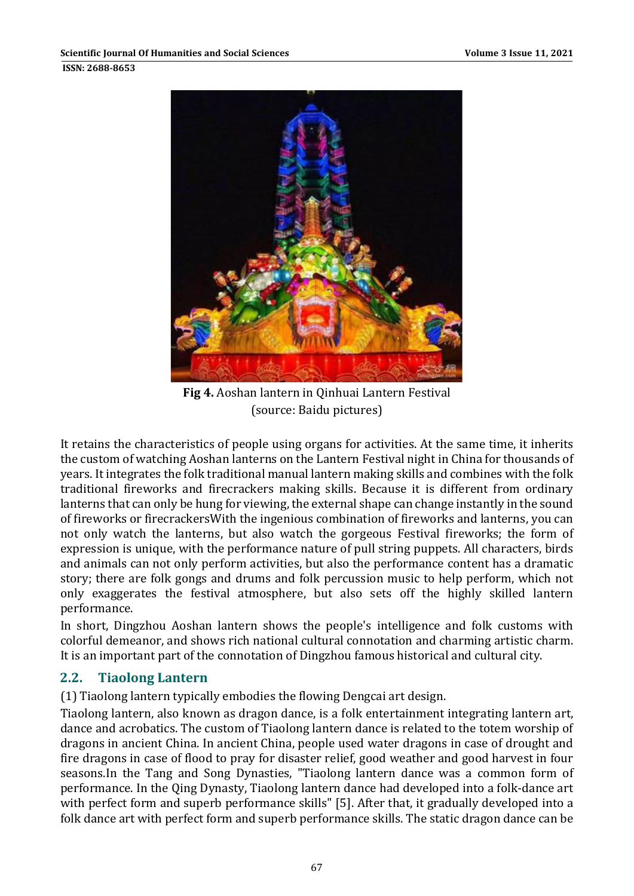

**Fig 4.** Aoshan lantern in Qinhuai Lantern Festival (source: Baidu pictures)

It retains the characteristics of people using organs for activities. At the same time, it inherits the custom of watching Aoshan lanterns on the Lantern Festival night in China for thousands of years. It integrates the folk traditional manual lantern making skills and combines with the folk traditional fireworks and firecrackers making skills. Because it is different from ordinary lanterns that can only be hung for viewing, the external shape can change instantly in the sound of fireworks or firecrackers With the ingenious combination of fireworks and lanterns, you can not only watch the lanterns, but also watch the gorgeous Festival fireworks; the form of expression is unique, with the performance nature of pull string puppets. All characters, birds and animals can not only perform activities, but also the performance content has a dramatic story; there are folk gongs and drums and folk percussion music to help perform, which not only exaggerates the festival atmosphere, but also sets off the highly skilled lantern performance. 

In short, Dingzhou Aoshan lantern shows the people's intelligence and folk customs with colorful demeanor, and shows rich national cultural connotation and charming artistic charm. It is an important part of the connotation of Dingzhou famous historical and cultural city.

#### **2.2. Tiaolong Lantern**

(1) Tiaolong lantern typically embodies the flowing Dengcai art design.

Tiaolong lantern, also known as dragon dance, is a folk entertainment integrating lantern art, dance and acrobatics. The custom of Tiaolong lantern dance is related to the totem worship of dragons in ancient China. In ancient China, people used water dragons in case of drought and fire dragons in case of flood to pray for disaster relief, good weather and good harvest in four seasons.In the Tang and Song Dynasties, "Tiaolong lantern dance was a common form of performance. In the Qing Dynasty, Tiaolong lantern dance had developed into a folk-dance art with perfect form and superb performance skills" [5]. After that, it gradually developed into a folk dance art with perfect form and superb performance skills. The static dragon dance can be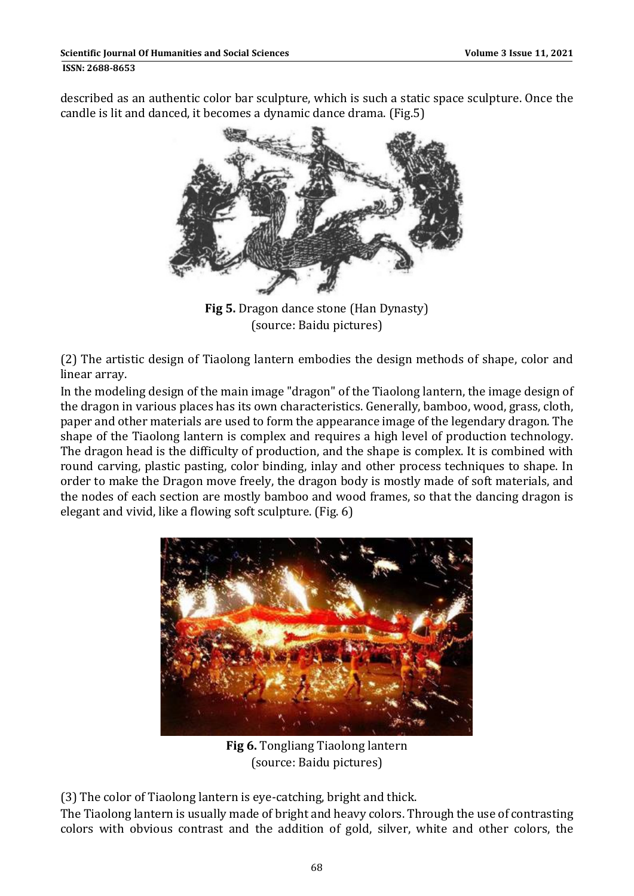described as an authentic color bar sculpture, which is such a static space sculpture. Once the candle is lit and danced, it becomes a dynamic dance drama. (Fig.5)



**Fig 5.** Dragon dance stone (Han Dynasty) (source: Baidu pictures)

(2) The artistic design of Tiaolong lantern embodies the design methods of shape, color and linear array.

In the modeling design of the main image "dragon" of the Tiaolong lantern, the image design of the dragon in various places has its own characteristics. Generally, bamboo, wood, grass, cloth, paper and other materials are used to form the appearance image of the legendary dragon. The shape of the Tiaolong lantern is complex and requires a high level of production technology. The dragon head is the difficulty of production, and the shape is complex. It is combined with round carving, plastic pasting, color binding, inlay and other process techniques to shape. In order to make the Dragon move freely, the dragon body is mostly made of soft materials, and the nodes of each section are mostly bamboo and wood frames, so that the dancing dragon is elegant and vivid, like a flowing soft sculpture. (Fig. 6)



**Fig 6.** Tongliang Tiaolong lantern (source: Baidu pictures)

(3) The color of Tiaolong lantern is eye-catching, bright and thick.

The Tiaolong lantern is usually made of bright and heavy colors. Through the use of contrasting colors with obvious contrast and the addition of gold, silver, white and other colors, the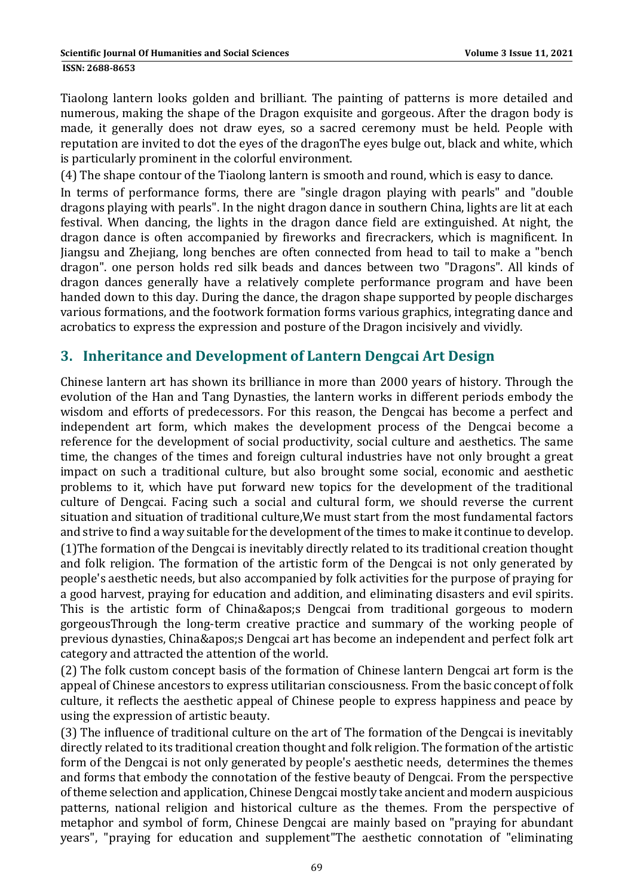**ISSN: 2688-8653** 

Tiaolong lantern looks golden and brilliant. The painting of patterns is more detailed and numerous, making the shape of the Dragon exquisite and gorgeous. After the dragon body is made, it generally does not draw eyes, so a sacred ceremony must be held. People with reputation are invited to dot the eyes of the dragonThe eyes bulge out, black and white, which is particularly prominent in the colorful environment.

(4) The shape contour of the Tiaolong lantern is smooth and round, which is easy to dance.

In terms of performance forms, there are "single dragon playing with pearls" and "double dragons playing with pearls". In the night dragon dance in southern China, lights are lit at each festival. When dancing, the lights in the dragon dance field are extinguished. At night, the dragon dance is often accompanied by fireworks and firecrackers, which is magnificent. In Jiangsu and Zhejiang, long benches are often connected from head to tail to make a "bench dragon". one person holds red silk beads and dances between two "Dragons". All kinds of dragon dances generally have a relatively complete performance program and have been handed down to this day. During the dance, the dragon shape supported by people discharges various formations, and the footwork formation forms various graphics, integrating dance and acrobatics to express the expression and posture of the Dragon incisively and vividly.

#### **3. Inheritance and Development of Lantern Dengcai Art Design**

Chinese lantern art has shown its brilliance in more than 2000 years of history. Through the evolution of the Han and Tang Dynasties, the lantern works in different periods embody the wisdom and efforts of predecessors. For this reason, the Dengcai has become a perfect and independent art form, which makes the development process of the Dengcai become a reference for the development of social productivity, social culture and aesthetics. The same time, the changes of the times and foreign cultural industries have not only brought a great impact on such a traditional culture, but also brought some social, economic and aesthetic problems to it, which have put forward new topics for the development of the traditional culture of Dengcai. Facing such a social and cultural form, we should reverse the current situation and situation of traditional culture, We must start from the most fundamental factors and strive to find a way suitable for the development of the times to make it continue to develop. (1) The formation of the Dengcai is inevitably directly related to its traditional creation thought and folk religion. The formation of the artistic form of the Dengcai is not only generated by people's aesthetic needs, but also accompanied by folk activities for the purpose of praying for a good harvest, praying for education and addition, and eliminating disasters and evil spirits. This is the artistic form of China' Dengcai from traditional gorgeous to modern gorgeousThrough the long-term creative practice and summary of the working people of previous dynasties, China' Dengcai art has become an independent and perfect folk art

category and attracted the attention of the world.

(2) The folk custom concept basis of the formation of Chinese lantern Dengcai art form is the appeal of Chinese ancestors to express utilitarian consciousness. From the basic concept of folk culture, it reflects the aesthetic appeal of Chinese people to express happiness and peace by using the expression of artistic beauty.

(3) The influence of traditional culture on the art of The formation of the Dengcai is inevitably directly related to its traditional creation thought and folk religion. The formation of the artistic form of the Dengcai is not only generated by people's aesthetic needs, determines the themes and forms that embody the connotation of the festive beauty of Dengcai. From the perspective of theme selection and application, Chinese Dengcai mostly take ancient and modern auspicious patterns, national religion and historical culture as the themes. From the perspective of metaphor and symbol of form, Chinese Dengcai are mainly based on "praying for abundant years", "praying for education and supplement"The aesthetic connotation of "eliminating